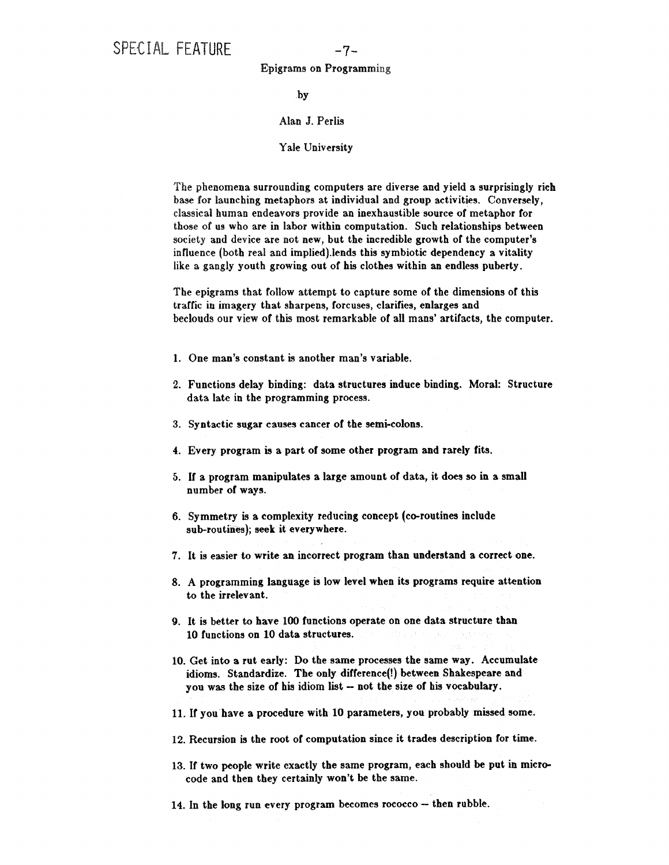## Epigrams on Programming

by

## Alan J. Perlis

## Yale University

The phenomena surrounding computers are diverse and yield a surprisingly rich base for launching metaphors at individual and group activities. Conversely, classical human endeavors provide an inexhaustible source of metaphor for those of us who are in labor within computation. Such relationships between society and device are not new, but the incredible growth of the computer's influence (both real and implied).lends this symbiotic dependency a vitality like a gangly youth growing out of his clothes within an endless puberty.

The epigrams that follow attempt to capture some of the dimensions of this traffic in imagery that sharpens, forcuses, clarifies, enlarges and beclouds our view of this most remarkable of all mans' artifacts, the computer.

- 1. One man's constant is another man's variable.
- **2.** Functions delay binding: data structures induce binding. Moral: Structure data late in the programming process.
- **3.** Syntactic sugar causes cancer of the semi-colons.
- 4. Every program is a part of some other program and rarely fits.
- 5. If a program manipulates a large amount of data, it does so in a small number of ways.
- 6. Symmetry is a complexity reducing concept (co-routines include sub-routines); seek it everywhere.
- 7. It is easier to write an incorrect program than understand a correct one.
- 8. A programming language is low level when its programs require attention to the irrelevant.
- 9. It is better to have 100 functions operate on one data structure than 10 functions on 10 data structures.
- 10. Get into a rut early: Do the same processes the same way. Accumulate idioms. Standardize. The only difference(!) between Shakespeare and you was the size of his idiom list - not the size of his vocabulary.
- 11. If you have a procedure with 10 parameters, you probably missed some.
- 12. Recursion is the root of computation since it trades description for time.
- 13. If two people write exactly the same program, each should be put in microcode and then they certainly won't be the same.
- 14. In the long run every program becomes rococco -- then rubble.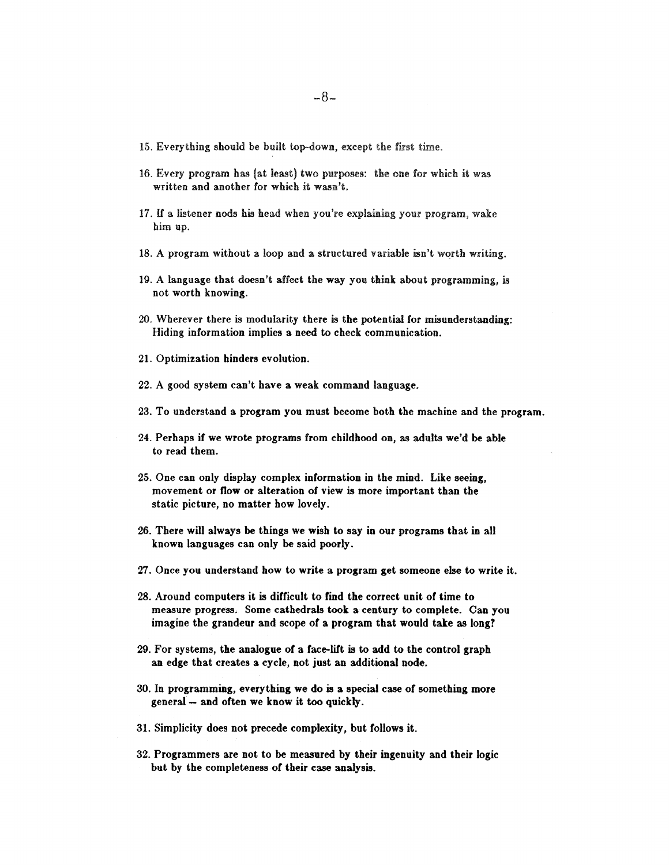- 15. Everything should be built top-down, except the first time.
- 16. Every program has (at least) two purposes: the one for which it was written and another for which it wasn't.
- 17. If a listener nods his head when you're explaining your program, wake him up.
- 18. A program without a loop and a structured variable isn't worth writing.
- 19. A language that doesn't affect the way you think about programming, is not worth knowing.
- 20. Wherever there is modularity there is the potential for misunderstanding: Hiding information implies a need to check communication.
- 21. Optimization hinders evolution.
- 22. A good system can't have a weak command language.
- 23. To understand a program you must become both the machine and the program.
- 24. Perhaps if we wrote programs from childhood on, as adults we'd be able to read them.
- 25. One can only display complex information in the mind. Like seeing, movement or flow or alteration of view is more important than the static picture, no matter how lovely.
- 26. There will always be things we wish to say in our programs that in all known languages can only be said poorly.
- 27. Once you understand how to write a program get someone else to write it.
- 28. Around computers it is difficult to find the correct unit of time to measure progress. Some cathedrals took a century to complete. Can you imagine the grandeur and scope of a program that would take as long?
- 29. For systems, the analogue of a face-lift is to add to the control graph an edge that creates a cycle, not just an additional node.
- 30. In programming, everything we do is a special case of something more general- and often we know it too quickly.
- 31. Simplicity does not precede complexity, but follows it.
- 32. Programmers are not to be measured by their ingenuity and their logic but by the completeness of their case analysis.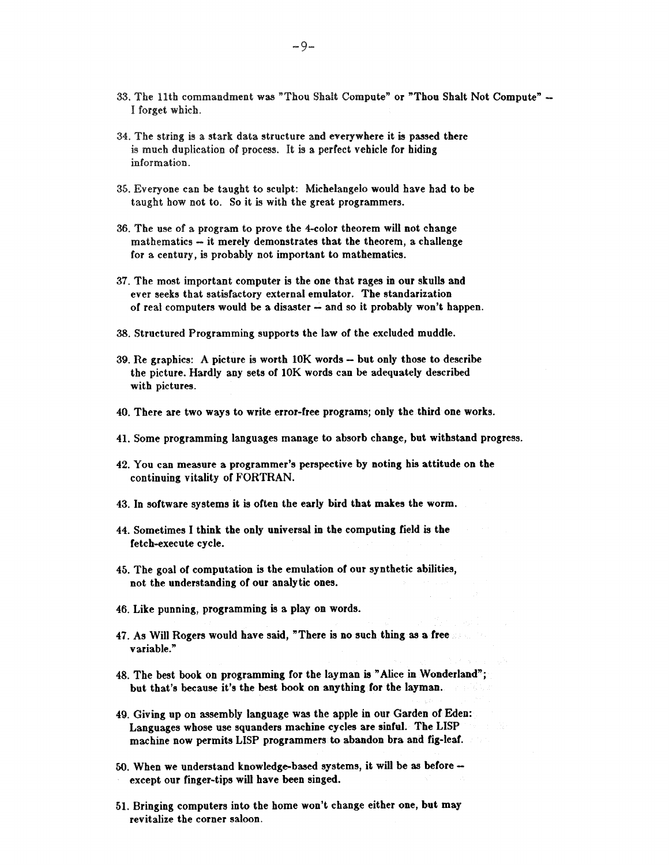- 33. The llth commandment was "Thou Shait Compute" or "Thou Shalt Not Compute ~  **<sup>I</sup>**forget which.
- 34. The string is a stark data structure and everywhere it is passed there is much duplication of process. It is a perfect vehicle for hiding information.
- 35. Everyone can be taught to sculpt: Michelangelo would have had to be taught how not to. So it is with the great programmers.
- 36. The use of a program to prove the 4-color theorem will not change mathematics - it merely demonstrates that the theorem, a challenge for a century, is probably not important to mathematics.
- 37. The most important computer is the one that rages in our skulls and ever seeks that satisfactory external emulator. The standarization of real computers would be a disaster - and so it probably won't happen.
- 38. Structured Programming supports the law of the excluded muddle.
- 39. Re graphics: A picture is worth 10K words but only those to describe the picture. Hardly any sets of 10K words can be adequately described with pictures.
- 40. There are two ways to write error-free programs; only the third one works.
- 41. Some programming languages manage to absorb change, but withstand progress.
- 42. You can measure a programmer's perspective by noting his attitude on the continuing vitality of FORTRAN.
- 43. In software systems it is often the early bird that makes the worm.
- 44. Sometimes I think the only universal in the computing field is the fetch-execute cycle.
- 45. The goal of computation is the emulation of our synthetic abilities, not the understanding of our analytic ones.
- 46. Like punning, programming is a play on words.
- 47. As Will Rogers would have said, "There is no such thing as a free variable."
- 48. The best book on programming for the layman is "Alice in Wonderland"; but that's because it's the best book on anything for the layman.
- 49. Giving up on assembly language was the apple in our Garden of Eden: Languages whose use squanders machine cycles are sinful. The LISP machine now permits LISP programmers to abandon bra and fig-leaf.
- 50. When we understand knowledge-based systems, it will be as beforeexcept our finger-tips will have been singed.
- 51. Bringing computers into the home won't change either one, but may revitalize the corner saloon.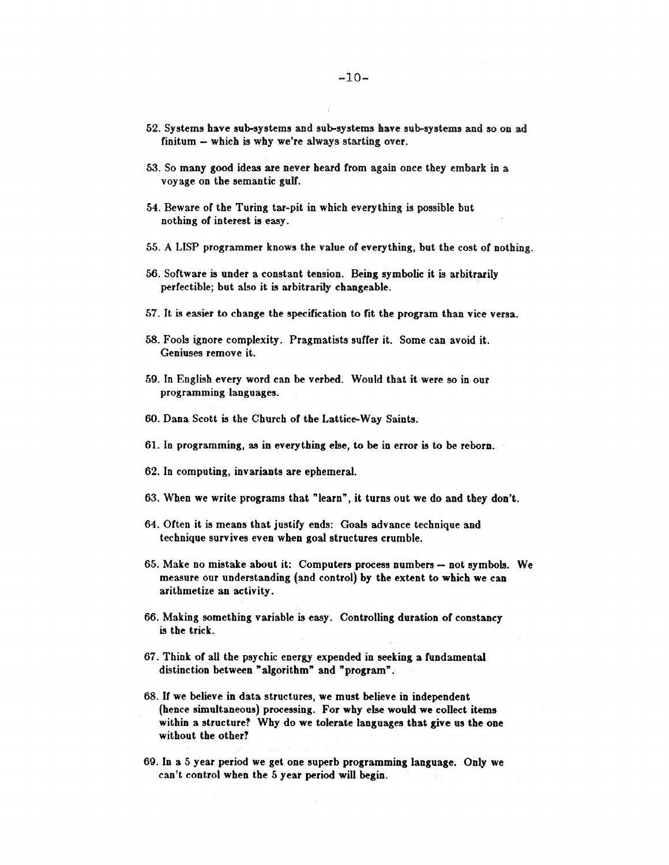- 52. Systems have sub-systems and sub-systems have sub-systems and so on ad finitum  $-$  which is why we're always starting over.
- 53. So many good ideas are never heard from again once they embark in a voyage on the semantic gulf.
- 54. Beware of the Turing tar-pit in which everything is possible but nothing of interest is easy.
- 55. A LISP programmer knows the value of everything, but the cost of nothing.
- 56. Software is under a constant tension. Being symbolic it is arbitrarily perfectible; but also it is arbitrarily changeable.
- 57. It is easier to change the specification to fit the program than vice versa.
- '58. Fools ignore complexity. Pragmatists suffer it. Some can avoid it, Geniuses remove it.
- 59. In English every word can be verbed. Would that it were so in our programming languages.
- 60. Dana Scott is the Church of the Lattice-Way Saints.
- 61. In programming, as in everything else, to be in error is to be reborn.
- 62. In computing, invariants are ephemeral.
- 63. When we write programs that "learn", it turns out we do and they don't.
- 64. Often it is means that justify ends: Goals advance technique and technique survives even when goal structures crumble.
- 65. Make no mistake about it: Computers process numbers -- not symbols. We measure our understanding (and control) by the extent to which we can arithmetize an activity.
- 66. Making something variable is easy. Controlling duration of constancy is the trick.
- 67. Think of all the psychic energy expended in seeking a fundamental distinction between "algorithm" and "program".
- 68. If we believe in data structures, we must believe in independent (hence simultaneous) processing. For why else would we collect items within a structure? Why do we tolerate languages that give us the **one**  without the other?
- 69. In a 5 year period we get one superb programming language. Only we can't control when the 5 year period will begin.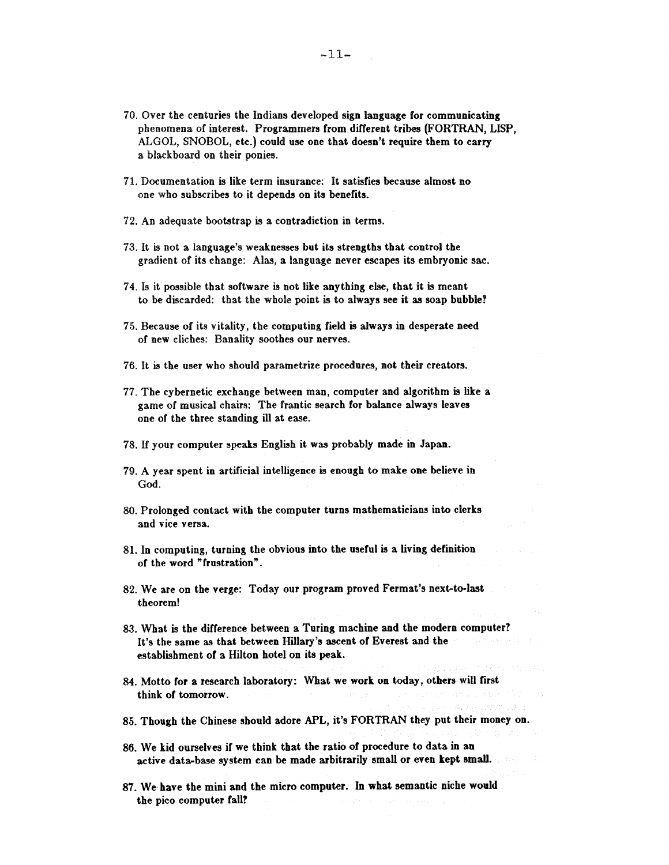- 70. Over the centuries the Indians developed sign language for communicating phenomena of interest. Programmers from different tribes (FORTRAN, LISP, ALGOL, SNOBOL, etc.) could use one that doesn't require them to carry a blackboard on their ponies.
- 71. Documentation is like term insurance: It satisfies because almost no one who subscribes to it depends on its benefits.
- 72. An adequate bootstrap is a contradiction in terms.
- 73. It is not a language's weaknesses but its strengths that control the gradient of its change: Alas, a language never escapes its embryonic sac.
- 74. Is it possible that software is not like anything else, that it is meant to be discarded: that the whole point is to always see it as soap bubble?
- 75. Because of its vitality, the computing field is always in desperate need of new cliches: Banality soothes our nerves.
- 76. It is the user who should parametrize procedures, not their creators.
- 77. The cybernetic exchange between man, computer and algorithm is like a game of musical chairs: The frantic search for balance always leaves one of the three standing ill at ease.
- 78. If your computer speaks English it was probably made in Japan.
- 79. A year spent in artificial intelligence is enough to make one believe in God.
- 80. Prolonged contact with the computer turns mathematicians into clerks and vice versa.
- 81. In computing, turning the obvious into the useful is a living definition of the word "frustration".
- 82. We are on the verge: Today our program proved Fermat's next-to-last theorem!
- 83. What is the difference between a Turing machine and the modern computer? It's the same as that between Hillary's ascent of Everest and the establishment of a Hilton hotel on its peak.
- 84. Motto for a research laboratory: What we work on today, others will first think of tomorrow.
- 85. Though the Chinese should adore APL, it's FORTRAN they put their money on.
- 86. We kid ourselves if we think that the ratio of procedure to data in an active data-base system can be made arbitrarily small or even kept small.
- 87. We have the mini and the micro computer. In what semantic niche would the pico computer fall?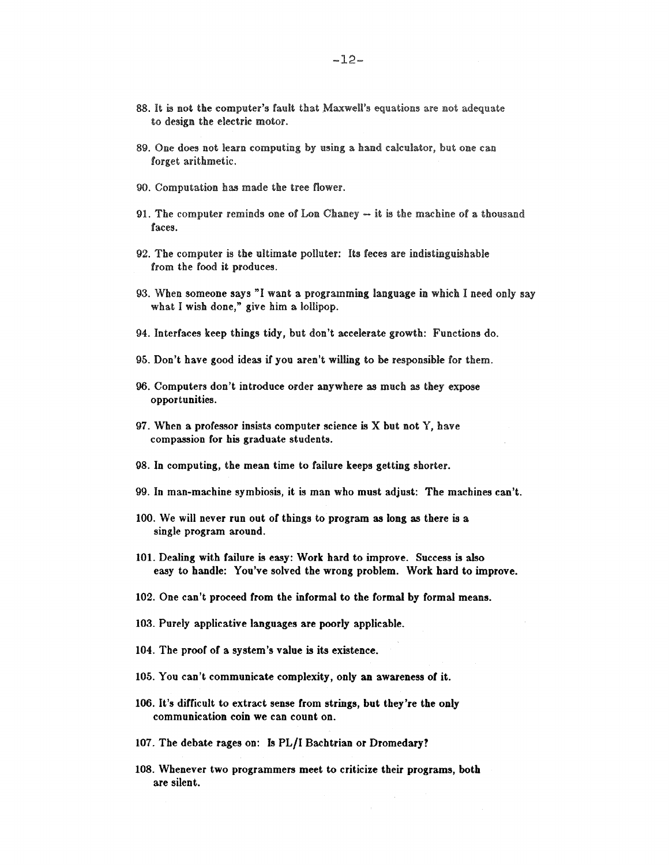- 88. It is not the computer's fault that Maxwell's equations are not adequate to design the electric motor.
- 89. One does not learn computing by using a hand calculator, but one can forget arithmetic.
- 90. Computation has made the tree flower.
- 91. The computer reminds one of Lon Chaney  $-$  it is the machine of a thousand faces.
- 92. The computer is the ultimate polluter: Its feces are indistinguishable from the food it produces.
- 93. When someone says "I want a programming language in which I need only say what I wish done," give him a lollipop.
- 94. Interfaces keep things tidy, but don't accelerate growth: Functions do.
- 95. Don't have good ideas if you aren't willing to be responsible for them.
- 96. Computers don't introduce order anywhere as much as they expose opportunities.
- 97. When a professor insists computer science is X but not Y, have compassion for his graduate students.
- **98.** In computing, the mean time to failure keeps getting shorter.
- 99. In man-machine symbiosis, it is man who must adjust: The machines can't.
- 100. We will never run out of things to program as long as there is **a**  single program around.
- 101. Dealing with failure is easy: Work hard to improve. Success is also easy to handle: You've solved the wrong problem. Work hard to improve.
- **102.** One can't proceed from the informal to the formal by formal means.
- 103. Purely applicative languages are poorly applicable.
- 104. The proof of a system's value is its existence.
- 105. You can't communicate complexity, only an awareness of it.
- 106. It's difficult to extract sense from strings, but they're the only communication coin we can count on.
- 107. The debate rages on: Is PL/I Bachtrian or Dromedary?
- 108. Whenever two programmers meet to criticize their programs, both are silent.